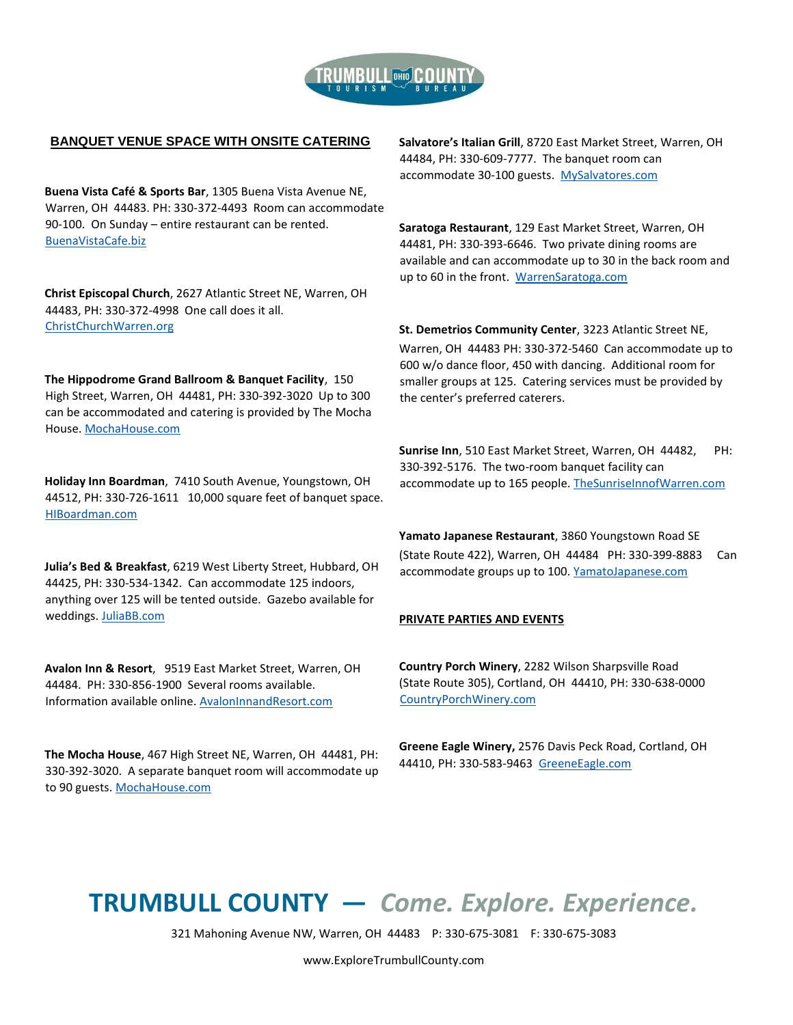

### **BANQUET VENUE SPACE WITH ONSITE CATERING**

**Buena Vista Café & Sports Bar**, 1305 Buena Vista Avenue NE, Warren, OH 44483. PH: 330-372-4493 Room can accommodate 90-100. On Sunday – entire restaurant can be rented. [BuenaVistaCafe.biz](http://www.buenavistacafe.biz/)

**Christ Episcopal Church**, 2627 Atlantic Street NE, Warren, OH 44483, PH: 330-372-4998 One call does it all. [ChristChurchWarren.org](http://www.christchurchwarren.org/) 

**The Hippodrome Grand Ballroom & Banquet Facility**, 150 High Street, Warren, OH 44481, PH: 330-392-3020 Up to 300 can be accommodated and catering is provided by The Mocha House[. MochaHouse.com](http://www.mochahouse.com/) 

**Holiday Inn Boardman**, 7410 South Avenue, Youngstown, OH 44512, PH: 330-726-1611 10,000 square feet of banquet space. [HIBoardman.com](http://www.hiboardman.com/) 

**Julia's Bed & Breakfast**, 6219 West Liberty Street, Hubbard, OH 44425, PH: 330-534-1342. Can accommodate 125 indoors, anything over 125 will be tented outside. Gazebo available for weddings[. JuliaBB.com](http://www.juliabb.com/) 

**Avalon Inn & Resort**, 9519 East Market Street, Warren, OH 44484. PH: 330-856-1900 Several rooms available. Information available online. [AvalonInnandResort.com](http://www.avaloninnandresort.com/) 

**The Mocha House**, 467 High Street NE, Warren, OH 44481, PH: 330-392-3020. A separate banquet room will accommodate up to 90 guests. [MochaHouse.com](http://www.mochahouse.com/) 

**Salvatore's Italian Grill**, 8720 East Market Street, Warren, OH 44484, PH: 330-609-7777. The banquet room can accommodate 30-100 guests. MySalvatores.com

**Saratoga Restaurant**, 129 East Market Street, Warren, OH 44481, PH: 330-393-6646. Two private dining rooms are available and can accommodate up to 30 in the back room and up to 60 in the front. [WarrenSaratoga.com](http://www.warrensaratoga.com/)

**St. Demetrios Community Center**, 3223 Atlantic Street NE, Warren, OH 44483 PH: 330-372-5460 Can accommodate up to 600 w/o dance floor, 450 with dancing. Additional room for smaller groups at 125. Catering services must be provided by the center's preferred caterers.

**Sunrise Inn**, 510 East Market Street, Warren, OH 44482, PH: 330-392-5176. The two-room banquet facility can accommodate up to 165 people. TheSunriseInnofWarren.com

**Yamato Japanese Restaurant**, 3860 Youngstown Road SE (State Route 422), Warren, OH 44484 PH: 330-399-8883 Can accommodate groups up to 100. [YamatoJapanese.com](http://www.yamatojapanese.com/)

### **PRIVATE PARTIES AND EVENTS**

**Country Porch Winery**, 2282 Wilson Sharpsville Road (State Route 305), Cortland, OH 44410, PH: 330-638-0000 [CountryPorchWinery.com](http://www.countryporchwinery.com/)

**Greene Eagle Winery,** 2576 Davis Peck Road, Cortland, OH 44410, PH: 330-583-9463 [GreeneEagle.com](http://www.greeneeagle.com/)

## **TRUMBULL COUNTY —** *Come. Explore. Experience.*

321 Mahoning Avenue NW, Warren, OH 44483 P: 330-675-3081 F: 330-675-3083

www.ExploreTrumbullCounty.com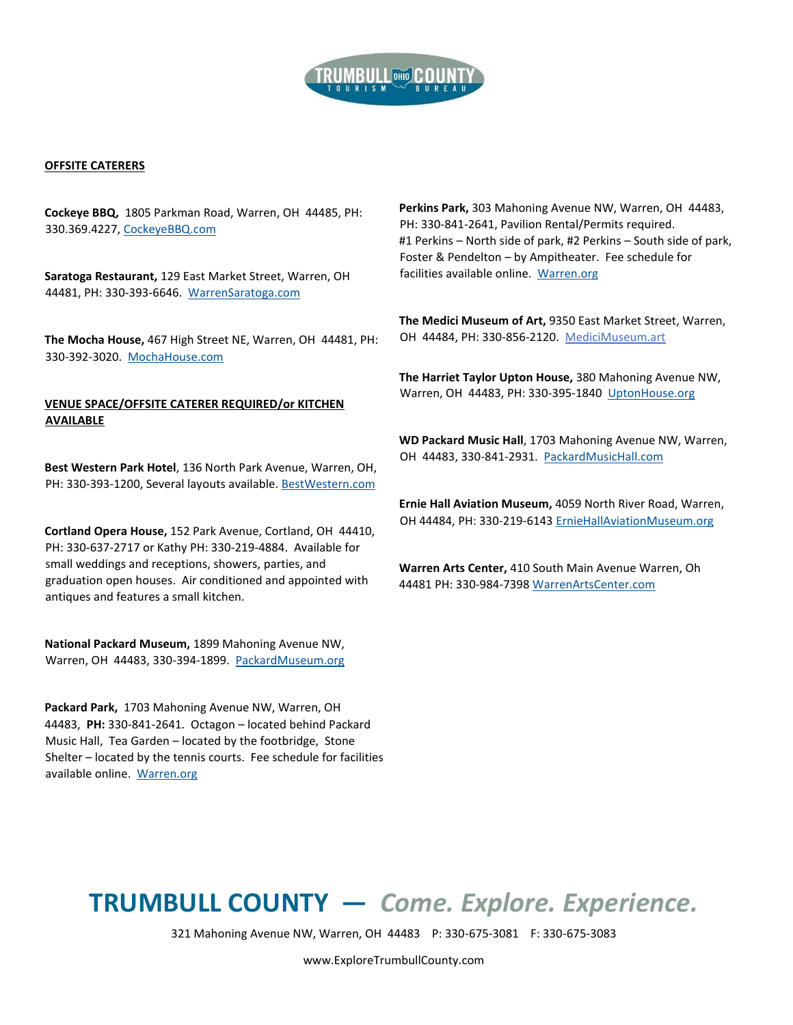

#### **OFFSITE CATERERS**

**Cockeye BBQ,** 1805 Parkman Road, Warren, OH 44485, PH: 330.369.4227[, CockeyeBBQ.com](http://www.cockeyebbq.com/)

**Saratoga Restaurant,** 129 East Market Street, Warren, OH 44481, PH: 330-393-6646. [WarrenSaratoga.com](http://www.warrensaratoga.com/)

**The Mocha House,** 467 High Street NE, Warren, OH 44481, PH: 330-392-3020. [MochaHouse.com](http://www.mochahouse.com/)

### **VENUE SPACE/OFFSITE CATERER REQUIRED/or KITCHEN AVAILABLE**

**Best Western Park Hotel**, 136 North Park Avenue, Warren, OH, PH: 330-393-1200, Several layouts available[. BestWestern.com](http://www.bestwestern.com/)

**Cortland Opera House,** 152 Park Avenue, Cortland, OH 44410, PH: 330-637-2717 or Kathy PH: 330-219-4884. Available for small weddings and receptions, showers, parties, and graduation open houses. Air conditioned and appointed with antiques and features a small kitchen.

**National Packard Museum,** 1899 Mahoning Avenue NW, Warren, OH 44483, 330-394-1899. [PackardMuseum.org](http://www.packardmuseum.org/)

**Packard Park,** 1703 Mahoning Avenue NW, Warren, OH 44483, **PH:** 330-841-2641. Octagon – located behind Packard Music Hall, Tea Garden – located by the footbridge, Stone Shelter – located by the tennis courts. Fee schedule for facilities available online. [Warren.org](http://www.warren.org/)

**Perkins Park,** 303 Mahoning Avenue NW, Warren, OH 44483, PH: 330-841-2641, Pavilion Rental/Permits required. #1 Perkins – North side of park, #2 Perkins – South side of park, Foster & Pendelton – by Ampitheater. Fee schedule for facilities available online. [Warren.org](http://www.warren.org/)

**The Medici Museum of Art,** 9350 East Market Street, Warren, OH 44484, PH: 330-856-2120. [MediciMuseum.art](http://medicimuseum.art/)

**The Harriet Taylor Upton House,** 380 Mahoning Avenue NW, Warren, OH 44483, PH: 330-395-1840 [UptonHouse.org](http://www.uptonhouse.org/)

**WD Packard Music Hall**, 1703 Mahoning Avenue NW, Warren, OH 44483, 330-841-2931. [PackardMusicHall.com](http://www.packardmusichall.com/)

**Ernie Hall Aviation Museum,** 4059 North River Road, Warren, OH 44484, PH: 330-219-614[3 ErnieHallAviationMuseum.org](http://www.erniehallaviationmuseum.org/)

**Warren Arts Center,** 410 South Main Avenue Warren, Oh 44481 PH: 330-984-7398 [WarrenArtsCenter.com](http://www.warrenartscenter.com/)

## **TRUMBULL COUNTY —** *Come. Explore. Experience.*

321 Mahoning Avenue NW, Warren, OH 44483 P: 330-675-3081 F: 330-675-3083